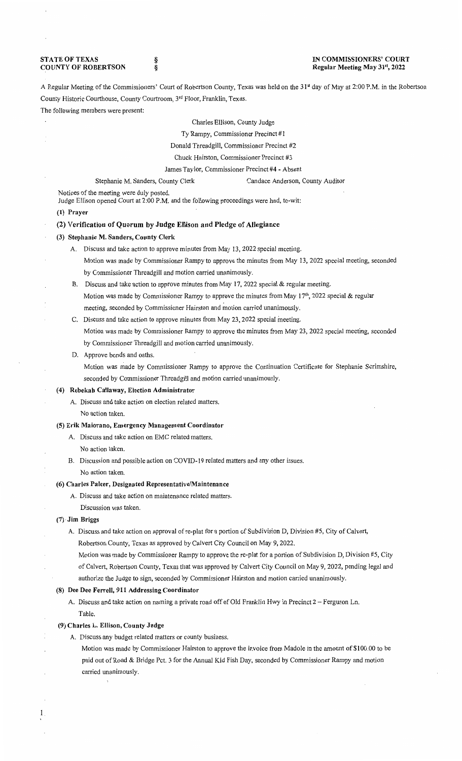**STATE OF TEXAS** COUNTY OF ROBERTSON § § IN COMMISSIONERS' COURT Regular Meeting May 31st, 2022

A Regular Meeting of the Commissioners' Court of Robertson County, Texas was held on the 31<sup>st</sup> day of May at 2:00 P.M. in the Robertson County Historic Courthouse, County Courtroom, 3'd Floor, Franklin, Texas.

The following members were present:

Charles Ellison, County Judge

Ty Rampy, Commissioner Precinct #1

Donald Threadgill, Commissioner Precinct #2

Chuck Hairston, Commissioner Precinct #3

James Taylor, Commissioner Precinct #4 - Absent

Stephanie M. Sanders, County Clerk Candace Anderson, County Auditor

Notices of the meeting were duly posted.

Judge Ellison opened Court at 2:00 P.M. and the following proceedings were had, to-wit:

#### (1) Prayer

## (2) Verification of Quorum by Judge Ellison and Pledge of Allegiance

## (3) Stephanie M. Sanders, County Clerk

- A. Discuss and take action to approve minutes from May 13, 2022 special meeting. Motion was made by Commissioner Rampy to approve the minutes from May 13, 2022 special meeting, seconded by Commissioner Threadgill and motion carried unanimously.
- B. Discuss and take action to approve minutes from May 17, 2022 special & regular meeting. Motion was made by Commissioner Rampy to approve the minutes from May 17<sup>th</sup>, 2022 special & regular meeting, seconded by Commissioner Hairston and motion carried unanimously.
- C. Discuss and take action to approve minutes from May 23, 2022 special meeting.

Motion was made by Commissioner Rampy to approve the minutes from May 23, 2022 special meeting, seconded by Commissioner Threadgill and motion carried unanimously.

D. Approve bonds and oaths.

Motion was made by Commissioner Rampy to approve the Continuation Certificate for Stephanie Scrimshire, seconded by Commissioner Threadgill and motion carried unanimously.

#### (4) Rebekah Callaway, Election Administrator

A. Discuss and take action on election related matters. No action taken.

#### (5) Erik Maiorano, Emergency Management Coordinator

- A. Discuss and take action on EMC related matters. No action taken.
- B. Discussion and possible action on COVID-19 related matters and any other issues. No action taken.

### (6) Charles Palcer, Designated Representative/Maintenance

- A. Discuss and take action on maintenance related matters.
- Discussion was taken.

### (7) ·Jim Briggs

1

- A. Discuss and take action on approval of re-plat for a portion of Subdivision D, Division #5, City of Calvert, Robertson County, Texas as approved by Calvert City Council on May 9, 2022.
	- Motion was made by Commissioner Rampy to approve the re-plat for a portion of Subdivision D, Division #5, City of Calvert, Robertson County, Texas that was approved by Calvert City Council on May 9, 2022, pending legal and authorize the Judge to sign, seconded by Commissioner Hairston and motion carried unanimously.

## (8) Dee Dee Ferrell, 911 Addressing Coordinator

A. Discuss and take action on naming a private road off of Old Franklin Hwy in Precinct 2 - Ferguson Ln. Table.

#### (9) Charles L. Ellison, County Judge

- A. Discuss any budget related matters or county business.
	- Motion was made by Commissioner Hairston to approve the invoice from Madole in the amount of \$100.00 to be paid out of Road & Bridge Pct. 3 for the Annual Kid Fish Day, seconded by Commissioner Rampy and motion carried unanimously.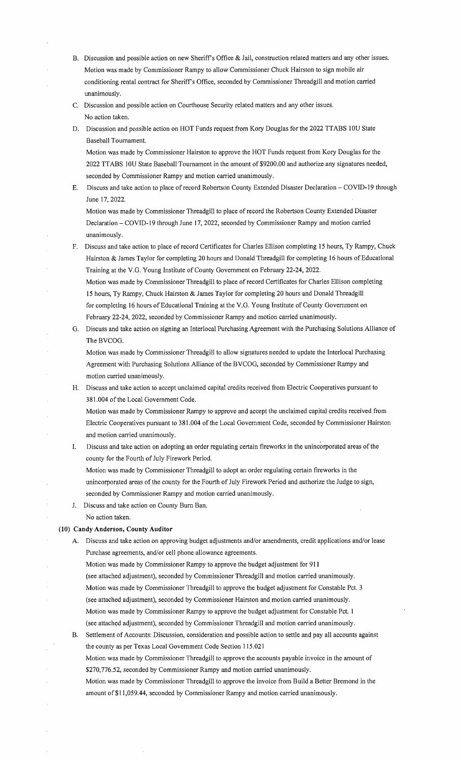- B. Discussion and possible action on new Sheriff's Office & Jail, construction related matters and any other issues. Motion was made by Commissioner Rampy to allow Commissioner Chuck Hairston to sign mobile air conditioning rental contract for Sheriffs Office, seconded by Commissioner Threadgill and motion carried unanimously.
- C. Discussion and possible action on Courthouse Security related matters and any other issues. No action taken.
- D. Discussion and possible action on HOT Funds request from Kory Douglas for the 2022 TT ABS IOU State Baseball Tournament.

Motion was made by Commissioner Hairston to approve the HOT Funds request from Kory Douglas for the 2022 TTABS 10U State Baseball Tournament in the amount of \$9200.00 and authorize any signatures needed, seconded by Commissioner Rampy and motion carried unanimously.

E. Discuss and take action to place of record Robertson County Extended Disaster Declaration - COVID-19 through June 17, 2022.

Motion was made by Commissioner Threadgill to place ofrecord the Robertson County Extended Disaster Declaration - COVID-19 through June 17, 2022, seconded by Commissioner Rampy and motion carried unanimously.

F. Discuss and take action to place of record Certificates for Charles Ellison completing 15 hours, Ty Rampy, Chuck Hairston & James Taylor for completing 20 hours and Donald Threadgill for completing 16 hours of Educational Training at the V.G. Young Institute of County Government on February 22-24, 2022. Motion was made by Commissioner Threadgill to place of record Certificates for Charles Ellison completing

15 hours, Ty Rampy, Chuck Hairston & James Taylor for completing 20 hours and Donald Threadgill for completing 16 hours of Educational Training at the V.G. Young Institute of County Government on February 22-24, 2022, seconded by Commissioner Rampy and motion carried unanimously.

G. Discuss and take action on signing an Interlocal Purchasing Agreement with the Purchasing Solutions Alliance of The BVCOG.

Motion was made by Commissioner Threadgill to allow signatures needed to update the Interlocal Purchasing Agreement with Purchasing Solutions Alliance of the BVCOG, seconded by Commissioner Rampy and motion carried unanimously.

H. Discuss and take action to accept unclaimed capital credits received from Electric Cooperatives pursuant to 381.004 of the Local Government Code.

Motion was made by Commissioner Rampy to approve and accept the unclaimed capital credits received from Electric Cooperatives pursuant to 381.004 of the Local Government Code, seconded by Commissioner Hairston and motion carried unanimously.

I. Discuss and take action on adopting an order regulating certain fireworks in the unincorporated areas of the county for the Fourth of July Firework Period.

Motion was made by Commissioner Threadgill to adopt an order regulating certain fireworks in the unincorporated areas of the county for the Fourth of July Firework Period and authorize the Judge to sign, seconded by Commissioner Rampy and motion carried unanimously.

- J. Discuss and take action on County Bum Ban.
	- No action taken.

# **(10) Candy Anderson, County Auditor**

- A. Discuss and take action on approving budget adjustments and/or amendments, credit applications and/or lease Purchase agreements, and/or cell phone allowance agreements.
	- Motion was made by Commissioner Rampy to approve the budget adjustment for **911**

(see attached adjustment), seconded by Commissioner Threadgill and motion carried unanimously.

Motion was made by Commissioner Threadgill to approve the budget adjustment for Constable Pct. 3 (see attached adjustment), seconded by Commissioner Hairston and motion carried unanimously.

Motion was made by Commissioner Rampy to approve the budget adjustment for Constable Pct. I

(see attached adjustment), seconded by Commissioner Threadgill and motion carried unanimously.

B. Settlement of Accounts: Discussion, consideration and possible action to settle and pay all accounts against the county as per Texas Local Government Code Section 115.021

Motion was made by Commissioner Threadgill to approve the accounts payable invoice in the amount of \$270,776.52, seconded by Commissioner Rampy and motion carried unanimously.

Motion was made by Commissioner Threadgill to approve the invoice from Build a Better Bremond in the amount of\$1 l,059.44, seconded by Commissioner Rampy and motion carried unanimously.